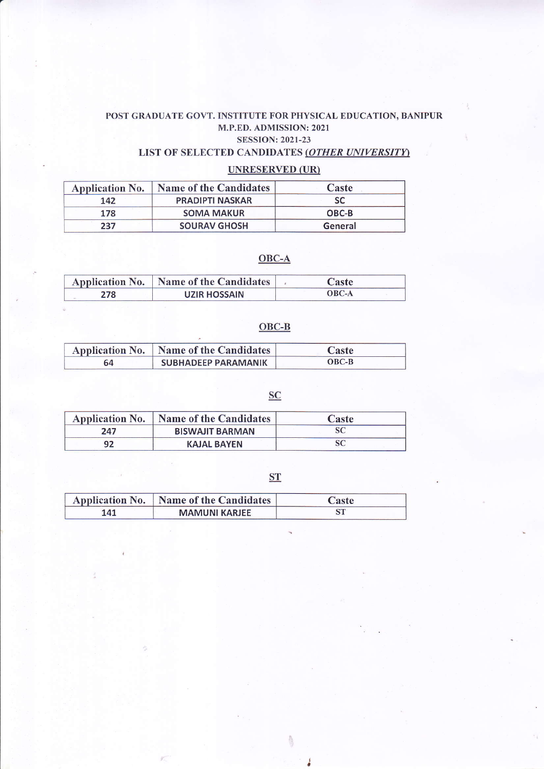# POST GRADUATE GOVT. INSTITUTE FOR PHYSICAL EDUCATION, BANIPUR M.P.ED. ADMISSION: 2021 SESSION:2021-23

## LIST OF SELECTED CANDIDATES (OTHER UNIVERSITY)

## UNRESERVED (UR)

| <b>Application No.</b> | <b>Name of the Candidates</b> | Caste   |
|------------------------|-------------------------------|---------|
| 142                    | <b>PRADIPTI NASKAR</b>        | SC      |
| 178                    | <b>SOMA MAKUR</b>             | OBC-B   |
| 237                    | <b>SOURAV GHOSH</b>           | General |

# OBC-A

|     | Application No.   Name of the Candidates | Caste        |
|-----|------------------------------------------|--------------|
| 278 | UZIR HOSSAIN                             | <b>OBC-A</b> |

### OBC.B

|    | Application No.   Name of the Candidates | Caste   |
|----|------------------------------------------|---------|
| 64 | SUBHADEEP PARAMANIK                      | $OBC-B$ |

## **SC**

| <b>Application No.</b> | Name of the Candidates | Caste |
|------------------------|------------------------|-------|
| 247                    | <b>BISWAJIT BARMAN</b> |       |
| 92                     | <b>KAJAL BAYEN</b>     |       |

**ST** 

 $\frac{\hbar}{\sqrt{2}}$ 

|     | Application No.   Name of the Candidates | Caste |  |
|-----|------------------------------------------|-------|--|
| 141 | <b>MAMUNI KARJEE</b>                     |       |  |